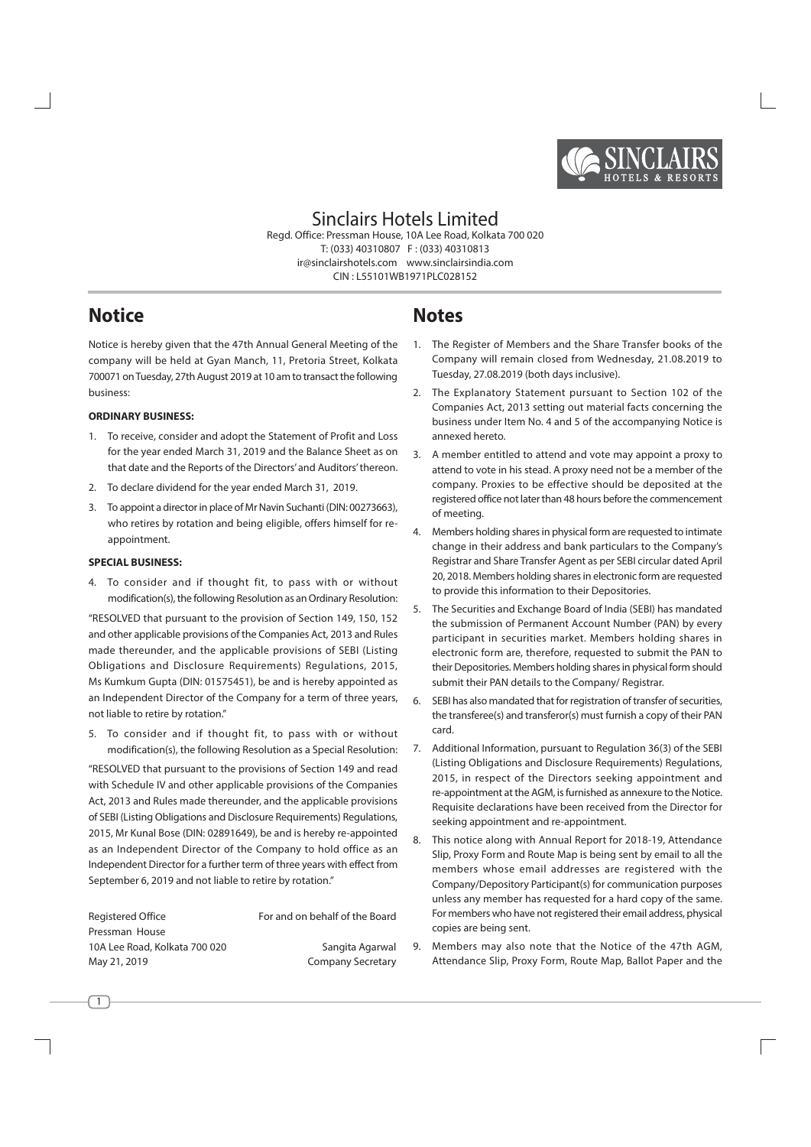

**Sinclairs Hotels Limited** Read, Office: Pressman House, 10A Lee Road, Kolkata 700 020 T: (033) 40310807 F: (033) 40310813 ir@sinclairshotels.com www.sinclairsindia.com CIN: L55101WB1971PLC028152

# **Notice**

Notice is hereby given that the 47th Annual General Meeting of the company will be held at Gyan Manch, 11, Pretoria Street, Kolkata 700071 on Tuesday, 27th August 2019 at 10 am to transact the following business:

## **ORDINARY RUSINESS:**

- 1. To receive, consider and adopt the Statement of Profit and Loss for the year ended March 31, 2019 and the Balance Sheet as on that date and the Reports of the Directors' and Auditors' thereon.
- 2. To declare dividend for the year ended March 31, 2019.
- 3. To appoint a director in place of Mr Navin Suchanti (DIN: 00273663), who retires by rotation and being eligible, offers himself for reappointment.

## **SPECIAL BUSINESS:**

 $\overline{1}$ 

4. To consider and if thought fit, to pass with or without modification(s), the following Resolution as an Ordinary Resolution:

"RESOLVED that pursuant to the provision of Section 149, 150, 152 and other applicable provisions of the Companies Act, 2013 and Rules made thereunder, and the applicable provisions of SEBI (Listing Obligations and Disclosure Requirements) Regulations, 2015, Ms Kumkum Gupta (DIN: 01575451), be and is hereby appointed as an Independent Director of the Company for a term of three years, not liable to retire by rotation."

5. To consider and if thought fit, to pass with or without modification(s), the following Resolution as a Special Resolution:

"RESOLVED that pursuant to the provisions of Section 149 and read with Schedule IV and other applicable provisions of the Companies Act, 2013 and Rules made thereunder, and the applicable provisions of SEBI (Listing Obligations and Disclosure Requirements) Regulations, 2015, Mr Kunal Bose (DIN: 02891649), be and is hereby re-appointed as an Independent Director of the Company to hold office as an Independent Director for a further term of three years with effect from September 6, 2019 and not liable to retire by rotation."

| Registered Office             | For and on behalf of the Board |
|-------------------------------|--------------------------------|
| Pressman House                |                                |
| 10A Lee Road, Kolkata 700 020 | Sangita Agarwal                |
| May 21, 2019                  | <b>Company Secretary</b>       |

# **Notes**

- 1. The Register of Members and the Share Transfer books of the Company will remain closed from Wednesday, 21.08.2019 to Tuesday, 27.08.2019 (both days inclusive).
- 2. The Explanatory Statement pursuant to Section 102 of the Companies Act, 2013 setting out material facts concerning the business under Item No. 4 and 5 of the accompanying Notice is annexed hereto.
- 3. A member entitled to attend and vote may appoint a proxy to attend to vote in his stead. A proxy need not be a member of the company. Proxies to be effective should be deposited at the registered office not later than 48 hours before the commencement of meeting.
- Members holding shares in physical form are requested to intimate  $4.$ change in their address and bank particulars to the Company's Registrar and Share Transfer Agent as per SEBI circular dated April 20, 2018. Members holding shares in electronic form are requested to provide this information to their Depositories.
- The Securities and Exchange Board of India (SEBI) has mandated 5. the submission of Permanent Account Number (PAN) by every participant in securities market. Members holding shares in electronic form are, therefore, requested to submit the PAN to their Depositories. Members holding shares in physical form should submit their PAN details to the Company/ Registrar.
- SEBI has also mandated that for registration of transfer of securities, 6. the transferee(s) and transferor(s) must furnish a copy of their PAN card.
- 7. Additional Information, pursuant to Regulation 36(3) of the SEBI (Listing Obligations and Disclosure Requirements) Regulations, 2015, in respect of the Directors seeking appointment and re-appointment at the AGM, is furnished as annexure to the Notice. Requisite declarations have been received from the Director for seeking appointment and re-appointment.
- This notice along with Annual Report for 2018-19, Attendance 8. Slip, Proxy Form and Route Map is being sent by email to all the members whose email addresses are registered with the Company/Depository Participant(s) for communication purposes unless any member has requested for a hard copy of the same. For members who have not registered their email address, physical copies are being sent.
- Members may also note that the Notice of the 47th AGM, 9. Attendance Slip, Proxy Form, Route Map, Ballot Paper and the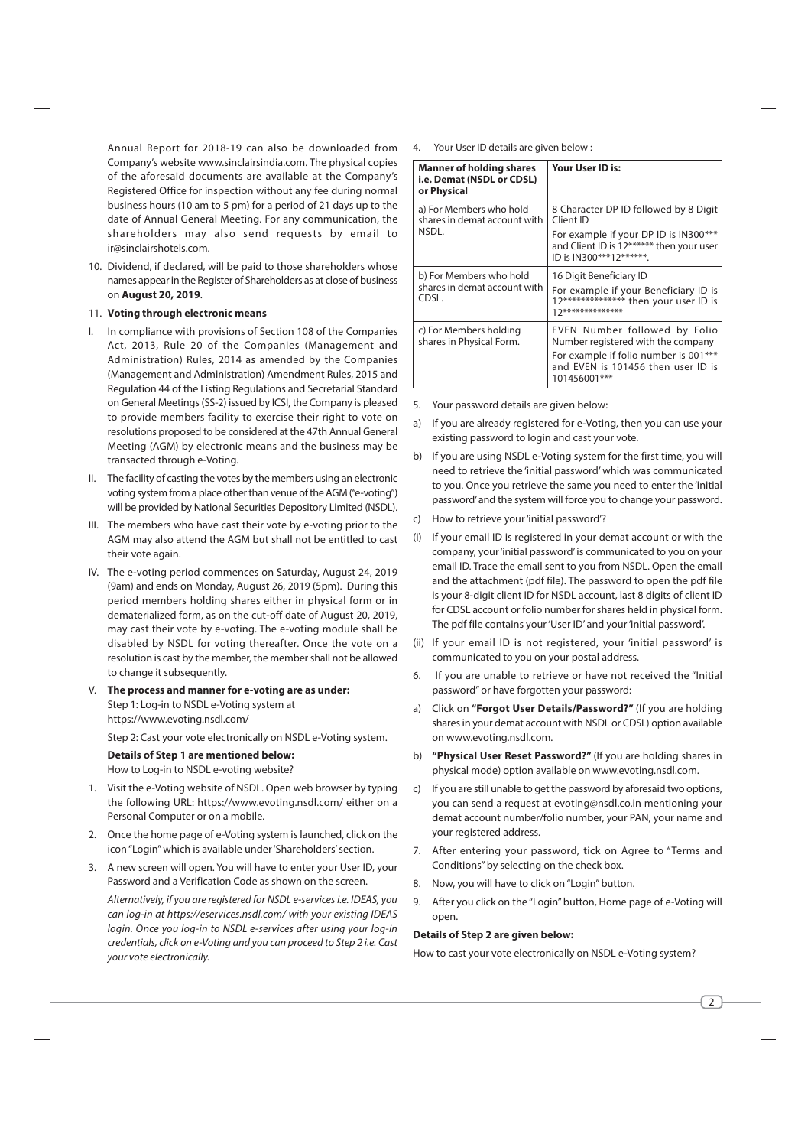Annual Report for 2018-19 can also be downloaded from Company's website www.sinclairsindia.com. The physical copies of the aforesaid documents are available at the Company's Registered Office for inspection without any fee during normal business hours (10 am to 5 pm) for a period of 21 days up to the date of Annual General Meeting. For any communication, the shareholders may also send requests by email to ir@sinclairshotels.com.

10. Dividend, if declared, will be paid to those shareholders whose names appear in the Register of Shareholders as at close of business on August 20, 2019.

#### 11. Voting through electronic means

- In compliance with provisions of Section 108 of the Companies Act, 2013, Rule 20 of the Companies (Management and Administration) Rules, 2014 as amended by the Companies (Management and Administration) Amendment Rules, 2015 and Regulation 44 of the Listing Regulations and Secretarial Standard on General Meetings (SS-2) issued by ICSI, the Company is pleased to provide members facility to exercise their right to vote on resolutions proposed to be considered at the 47th Annual General Meeting (AGM) by electronic means and the business may be transacted through e-Voting.
- II. The facility of casting the votes by the members using an electronic voting system from a place other than venue of the AGM ("e-voting") will be provided by National Securities Depository Limited (NSDL).
- III. The members who have cast their vote by e-voting prior to the AGM may also attend the AGM but shall not be entitled to cast their vote again.
- IV. The e-voting period commences on Saturday, August 24, 2019 (9am) and ends on Monday, August 26, 2019 (5pm). During this period members holding shares either in physical form or in dematerialized form, as on the cut-off date of August 20, 2019, may cast their vote by e-voting. The e-voting module shall be disabled by NSDL for voting thereafter. Once the vote on a resolution is cast by the member, the member shall not be allowed to change it subsequently.
- V. The process and manner for e-voting are as under: Step 1: Log-in to NSDL e-Voting system at https://www.evoting.nsdl.com/ Step 2: Cast your vote electronically on NSDL e-Voting system.

**Details of Step 1 are mentioned below:** How to Log-in to NSDL e-voting website?

- Visit the e-Voting website of NSDL. Open web browser by typing  $1$ the following URL: https://www.evoting.nsdl.com/ either on a Personal Computer or on a mobile.
- 2. Once the home page of e-Voting system is launched, click on the icon "Login" which is available under 'Shareholders' section.
- 3. A new screen will open. You will have to enter your User ID, your Password and a Verification Code as shown on the screen.

Alternatively, if you are registered for NSDL e-services i.e. IDEAS, you can log-in at https://eservices.nsdl.com/ with your existing IDEAS login. Once you log-in to NSDL e-services after using your log-in credentials, click on e-Voting and you can proceed to Step 2 i.e. Cast your vote electronically.

4. Your User ID details are given below :

| <b>Manner of holding shares</b><br>i.e. Demat (NSDL or CDSL)<br>or Physical | Your User ID is:                                                                                                              |
|-----------------------------------------------------------------------------|-------------------------------------------------------------------------------------------------------------------------------|
| a) For Members who hold<br>shares in demat account with                     | 8 Character DP ID followed by 8 Digit<br>Client ID                                                                            |
| NSDL.                                                                       | For example if your DP ID is IN300***<br>and Client ID is 12****** then your user<br>ID is IN300***12*******.                 |
| b) For Members who hold<br>shares in demat account with<br>CDSL.            | 16 Digit Beneficiary ID<br>For example if your Beneficiary ID is<br>12************** then your user ID is<br>17************** |
| c) For Members holding<br>shares in Physical Form.                          | EVEN Number followed by Folio<br>Number registered with the company                                                           |
|                                                                             | For example if folio number is 001***<br>and EVEN is 101456 then user ID is<br>101456001***                                   |

- 5. Your password details are given below:
- a) If you are already registered for e-Voting, then you can use your existing password to login and cast your vote.
- b) If you are using NSDL e-Voting system for the first time, you will need to retrieve the 'initial password' which was communicated to you. Once you retrieve the same you need to enter the 'initial password' and the system will force you to change your password.
- How to retrieve your 'initial password'?  $\mathsf{C}$ )
- $(i)$ If your email ID is registered in your demat account or with the company, your 'initial password' is communicated to you on your email ID. Trace the email sent to you from NSDL. Open the email and the attachment (pdf file). The password to open the pdf file is your 8-digit client ID for NSDL account, last 8 digits of client ID for CDSL account or folio number for shares held in physical form. The pdf file contains your 'User ID' and your 'initial password'.
- If your email ID is not registered, your 'initial password' is  $(ii)$ communicated to you on your postal address.
- If you are unable to retrieve or have not received the "Initial 6. password" or have forgotten your password:
- a) Click on "Forgot User Details/Password?" (If you are holding shares in your demat account with NSDL or CDSL) option available on www.evoting.nsdl.com.
- b) "Physical User Reset Password?" (If you are holding shares in physical mode) option available on www.evoting.nsdl.com.
- If you are still unable to get the password by aforesaid two options,  $\mathsf{C}$ vou can send a request at evoting@nsdl.co.in mentioning your demat account number/folio number, your PAN, your name and your registered address.
- 7. After entering your password, tick on Agree to "Terms and Conditions" by selecting on the check box.
- 8. Now, you will have to click on "Login" button.
- 9. After you click on the "Login" button, Home page of e-Voting will open.

#### Details of Step 2 are given below:

How to cast your vote electronically on NSDL e-Voting system?

 $\overline{2}$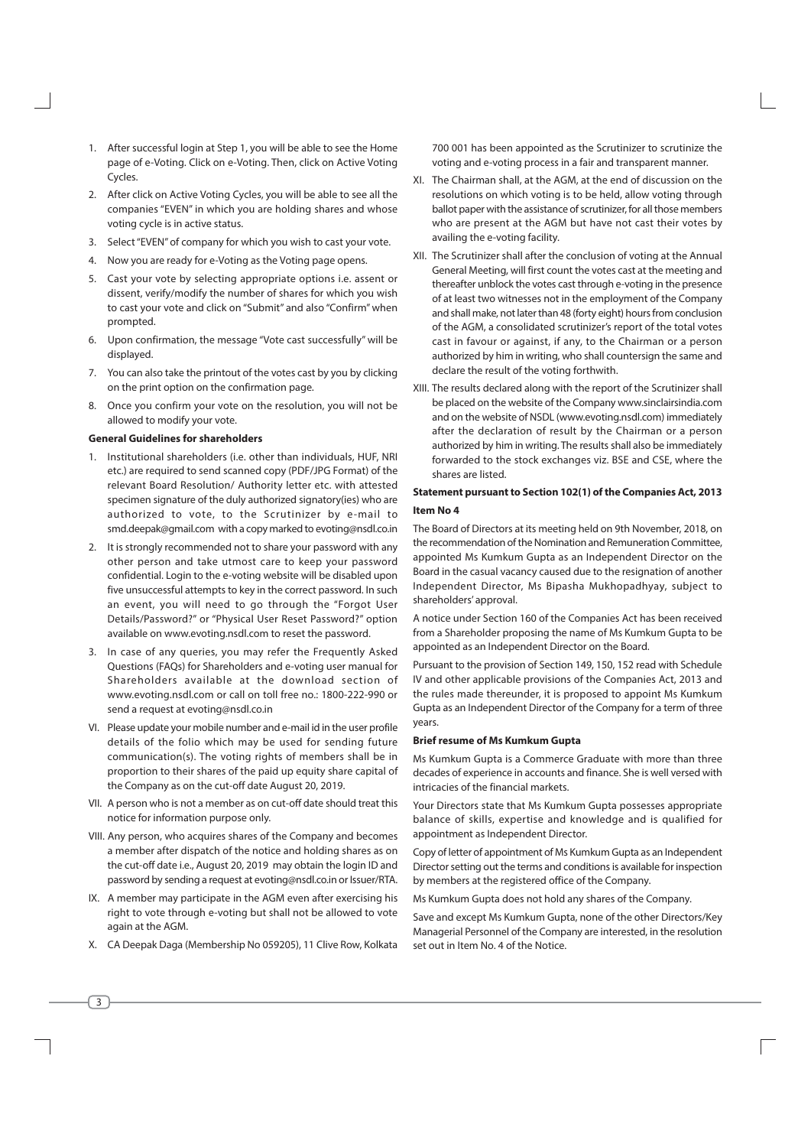- 1. After successful login at Step 1, you will be able to see the Home page of e-Voting. Click on e-Voting. Then, click on Active Voting Cvcles.
- 2. After click on Active Voting Cycles, you will be able to see all the companies "EVEN" in which you are holding shares and whose voting cycle is in active status.
- 3. Select "EVEN" of company for which you wish to cast your vote.
- 4. Now you are ready for e-Voting as the Voting page opens.
- 5. Cast your vote by selecting appropriate options i.e. assent or dissent, verify/modify the number of shares for which you wish to cast your vote and click on "Submit" and also "Confirm" when prompted.
- 6. Upon confirmation, the message "Vote cast successfully" will be displayed.
- 7. You can also take the printout of the votes cast by you by clicking on the print option on the confirmation page.
- Once you confirm your vote on the resolution, you will not be  $\mathsf{R}$ allowed to modify your vote.

#### **General Guidelines for shareholders**

- 1. Institutional shareholders (i.e. other than individuals, HUF, NRI etc.) are required to send scanned copy (PDF/JPG Format) of the relevant Board Resolution/ Authority letter etc. with attested specimen signature of the duly authorized signatory(ies) who are authorized to vote, to the Scrutinizer by e-mail to smd.deepak@gmail.com with a copy marked to evoting@nsdl.co.in
- 2. It is strongly recommended not to share your password with any other person and take utmost care to keep your password confidential. Login to the e-voting website will be disabled upon five unsuccessful attempts to key in the correct password. In such an event, you will need to go through the "Forgot User Details/Password?" or "Physical User Reset Password?" option available on www.evoting.nsdl.com to reset the password.
- 3. In case of any queries, you may refer the Frequently Asked Questions (FAQs) for Shareholders and e-voting user manual for Shareholders available at the download section of www.evoting.nsdl.com or call on toll free no.: 1800-222-990 or send a request at evoting@nsdl.co.in
- VI. Please update your mobile number and e-mail id in the user profile details of the folio which may be used for sending future communication(s). The voting rights of members shall be in proportion to their shares of the paid up equity share capital of the Company as on the cut-off date August 20, 2019.
- VII. A person who is not a member as on cut-off date should treat this notice for information purpose only.
- VIII. Any person, who acquires shares of the Company and becomes a member after dispatch of the notice and holding shares as on the cut-off date i.e., August 20, 2019 may obtain the login ID and password by sending a request at evoting@nsdl.co.in or Issuer/RTA.
- IX. A member may participate in the AGM even after exercising his right to vote through e-voting but shall not be allowed to vote again at the AGM.
- X. CA Deepak Daga (Membership No 059205), 11 Clive Row, Kolkata

 $\sqrt{3}$ 

700 001 has been appointed as the Scrutinizer to scrutinize the voting and e-voting process in a fair and transparent manner.

- XI. The Chairman shall, at the AGM, at the end of discussion on the resolutions on which voting is to be held, allow voting through ballot paper with the assistance of scrutinizer, for all those members who are present at the AGM but have not cast their votes by availing the e-voting facility.
- XII. The Scrutinizer shall after the conclusion of voting at the Annual General Meeting, will first count the votes cast at the meeting and thereafter unblock the votes cast through e-voting in the presence of at least two witnesses not in the employment of the Company and shall make, not later than 48 (forty eight) hours from conclusion of the AGM, a consolidated scrutinizer's report of the total votes cast in favour or against, if any, to the Chairman or a person authorized by him in writing, who shall countersign the same and declare the result of the voting forthwith.
- XIII. The results declared along with the report of the Scrutinizer shall be placed on the website of the Company www.sinclairsindia.com and on the website of NSDL (www.evoting.nsdl.com) immediately after the declaration of result by the Chairman or a person authorized by him in writing. The results shall also be immediately forwarded to the stock exchanges viz. BSE and CSE, where the shares are listed

## Statement pursuant to Section 102(1) of the Companies Act, 2013 Item No 4

The Board of Directors at its meeting held on 9th November, 2018, on the recommendation of the Nomination and Remuneration Committee, appointed Ms Kumkum Gupta as an Independent Director on the Board in the casual vacancy caused due to the resignation of another Independent Director, Ms Bipasha Mukhopadhyay, subject to shareholders' approval.

A notice under Section 160 of the Companies Act has been received from a Shareholder proposing the name of Ms Kumkum Gupta to be appointed as an Independent Director on the Board.

Pursuant to the provision of Section 149, 150, 152 read with Schedule IV and other applicable provisions of the Companies Act, 2013 and the rules made thereunder, it is proposed to appoint Ms Kumkum Gupta as an Independent Director of the Company for a term of three years.

#### **Brief resume of Ms Kumkum Gupta**

Ms Kumkum Gunta is a Commerce Graduate with more than three decades of experience in accounts and finance. She is well versed with intricacies of the financial markets.

Your Directors state that Ms Kumkum Gupta possesses appropriate balance of skills, expertise and knowledge and is qualified for appointment as Independent Director.

Copy of letter of appointment of Ms Kumkum Gupta as an Independent Director setting out the terms and conditions is available for inspection by members at the registered office of the Company.

Ms Kumkum Gupta does not hold any shares of the Company.

Save and except Ms Kumkum Gupta, none of the other Directors/Key Managerial Personnel of the Company are interested, in the resolution set out in Item No. 4 of the Notice.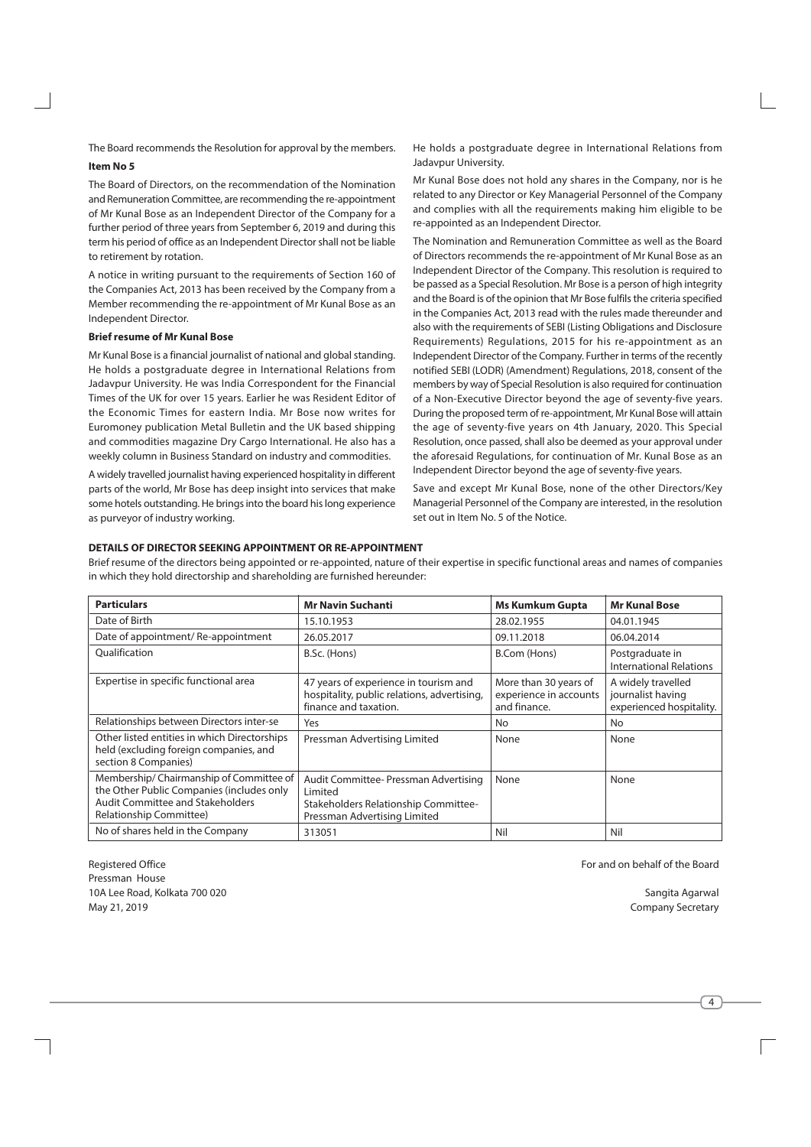The Board recommends the Resolution for approval by the members. **Item No 5** 

The Board of Directors, on the recommendation of the Nomination and Remuneration Committee, are recommending the re-appointment of Mr Kunal Bose as an Independent Director of the Company for a further period of three years from September 6, 2019 and during this term his period of office as an Independent Director shall not be liable to retirement by rotation.

A notice in writing pursuant to the requirements of Section 160 of the Companies Act, 2013 has been received by the Company from a Member recommending the re-appointment of Mr Kunal Bose as an Independent Director.

## **Brief resume of Mr Kunal Bose**

Mr Kunal Bose is a financial journalist of national and global standing. He holds a postgraduate degree in International Relations from Jadavpur University. He was India Correspondent for the Financial Times of the UK for over 15 years. Earlier he was Resident Editor of the Economic Times for eastern India. Mr Bose now writes for Euromoney publication Metal Bulletin and the UK based shipping and commodities magazine Dry Cargo International. He also has a weekly column in Business Standard on industry and commodities.

A widely travelled journalist having experienced hospitality in different parts of the world, Mr Bose has deep insight into services that make some hotels outstanding. He brings into the board his long experience as purveyor of industry working.

He holds a postgraduate degree in International Relations from Jadavpur University.

Mr Kunal Bose does not hold any shares in the Company, nor is he related to any Director or Key Managerial Personnel of the Company and complies with all the requirements making him eligible to be re-appointed as an Independent Director.

The Nomination and Remuneration Committee as well as the Board of Directors recommends the re-appointment of Mr Kunal Bose as an Independent Director of the Company. This resolution is required to be passed as a Special Resolution. Mr Bose is a person of high integrity and the Board is of the opinion that Mr Bose fulfils the criteria specified in the Companies Act, 2013 read with the rules made thereunder and also with the requirements of SEBI (Listing Obligations and Disclosure Requirements) Requlations, 2015 for his re-appointment as an Independent Director of the Company. Further in terms of the recently notified SEBI (LODR) (Amendment) Regulations, 2018, consent of the members by way of Special Resolution is also required for continuation of a Non-Executive Director beyond the age of seventy-five years. During the proposed term of re-appointment, Mr Kunal Bose will attain the age of seventy-five years on 4th January, 2020. This Special Resolution, once passed, shall also be deemed as your approval under the aforesaid Regulations, for continuation of Mr. Kunal Bose as an Independent Director beyond the age of seventy-five years.

Save and except Mr Kunal Bose, none of the other Directors/Key Managerial Personnel of the Company are interested, in the resolution set out in Item No. 5 of the Notice.

## DETAILS OF DIRECTOR SEEKING APPOINTMENT OR RE-APPOINTMENT

Brief resume of the directors being appointed or re-appointed, nature of their expertise in specific functional areas and names of companies in which they hold directorship and shareholding are furnished hereunder:

| <b>Particulars</b>                                                                                                                                  | <b>Mr Navin Suchanti</b>                                                                                                 | <b>Ms Kumkum Gupta</b>                                          | <b>Mr Kunal Bose</b>                                                |
|-----------------------------------------------------------------------------------------------------------------------------------------------------|--------------------------------------------------------------------------------------------------------------------------|-----------------------------------------------------------------|---------------------------------------------------------------------|
| Date of Birth                                                                                                                                       | 15.10.1953                                                                                                               | 28.02.1955                                                      | 04.01.1945                                                          |
| Date of appointment/Re-appointment                                                                                                                  | 26.05.2017                                                                                                               | 09.11.2018                                                      | 06.04.2014                                                          |
| Oualification                                                                                                                                       | B.Sc. (Hons)                                                                                                             | B.Com (Hons)                                                    | Postgraduate in<br><b>International Relations</b>                   |
| Expertise in specific functional area                                                                                                               | 47 years of experience in tourism and<br>hospitality, public relations, advertising,<br>finance and taxation.            | More than 30 years of<br>experience in accounts<br>and finance. | A widely travelled<br>journalist having<br>experienced hospitality. |
| Relationships between Directors inter-se                                                                                                            | Yes                                                                                                                      | No.                                                             | No                                                                  |
| Other listed entities in which Directorships<br>held (excluding foreign companies, and<br>section 8 Companies)                                      | Pressman Advertising Limited                                                                                             | None                                                            | None                                                                |
| Membership/Chairmanship of Committee of<br>the Other Public Companies (includes only<br>Audit Committee and Stakeholders<br>Relationship Committee) | Audit Committee- Pressman Advertising<br>Limited<br>Stakeholders Relationship Committee-<br>Pressman Advertising Limited | None                                                            | None                                                                |
| No of shares held in the Company                                                                                                                    | 313051                                                                                                                   | Nil                                                             | Nil                                                                 |

**Registered Office** Pressman House 10A Lee Road, Kolkata 700 020 May 21, 2019

For and on behalf of the Board

Sangita Agarwal Company Secretary

 $\overline{4}$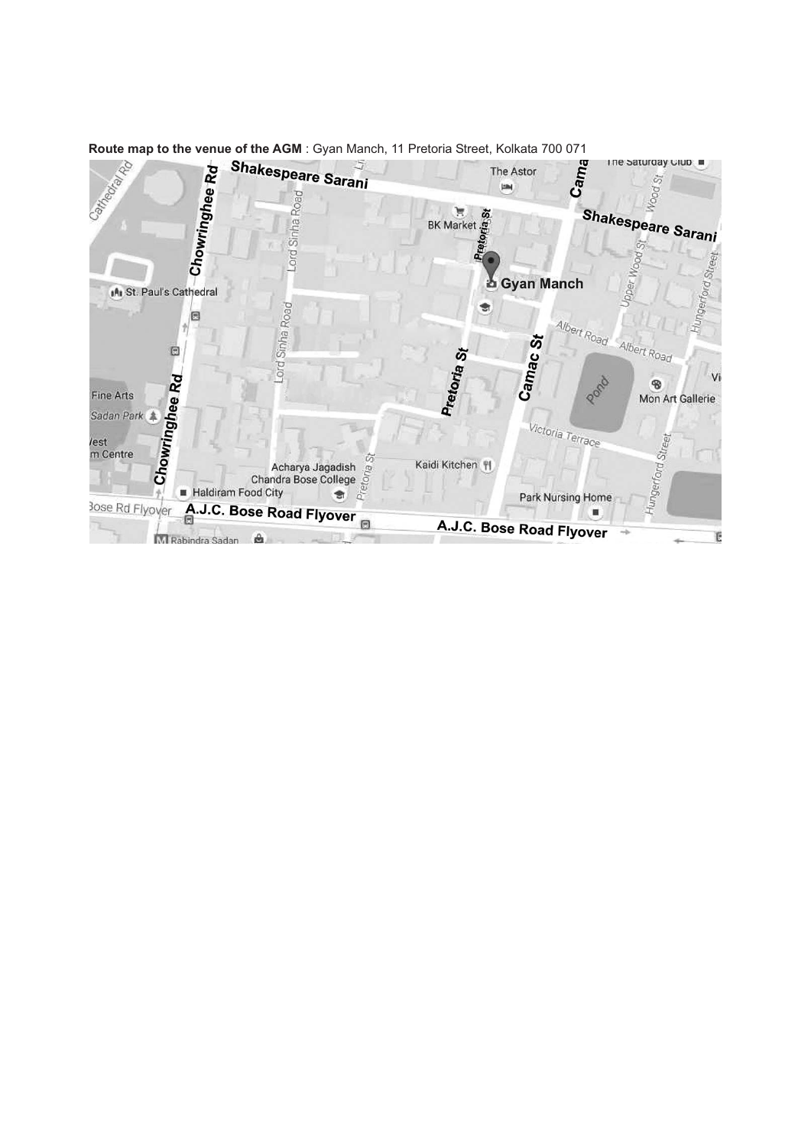

Route map to the venue of the AGM : Gyan Manch, 11 Pretoria Street, Kolkata 700 071